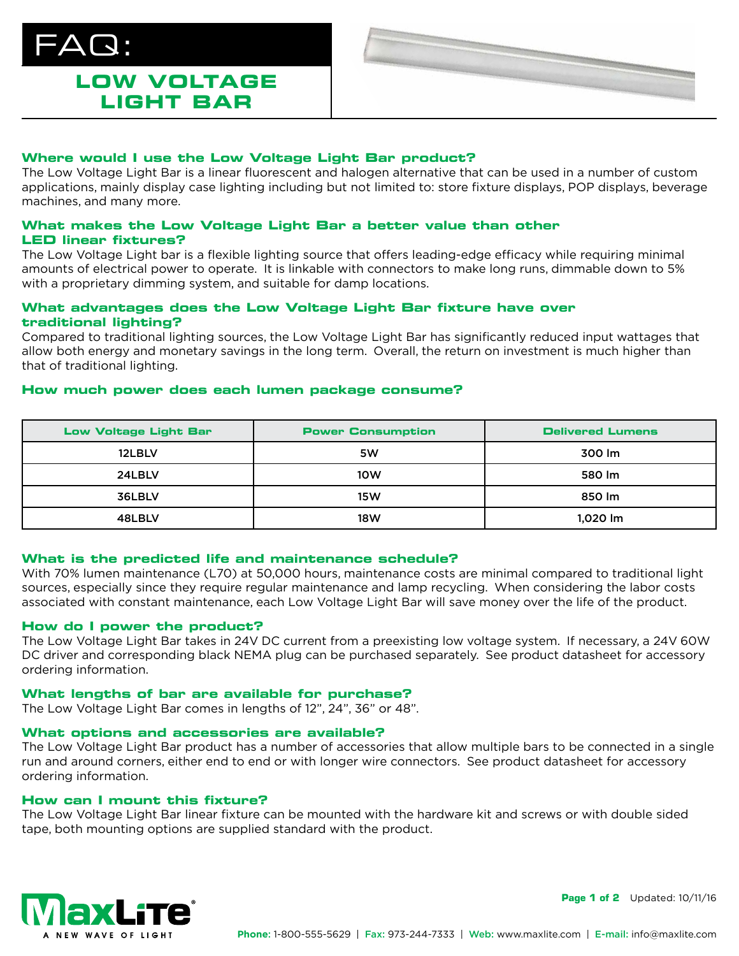

# **LOW VOLTAGE LIGHT BAR**



# **Where would I use the Low Voltage Light Bar product?**

The Low Voltage Light Bar is a linear fluorescent and halogen alternative that can be used in a number of custom applications, mainly display case lighting including but not limited to: store fixture displays, POP displays, beverage machines, and many more.

# **What makes the Low Voltage Light Bar a better value than other LED linear fixtures?**

The Low Voltage Light bar is a flexible lighting source that offers leading-edge efficacy while requiring minimal amounts of electrical power to operate. It is linkable with connectors to make long runs, dimmable down to 5% with a proprietary dimming system, and suitable for damp locations.

# **What advantages does the Low Voltage Light Bar fixture have over traditional lighting?**

Compared to traditional lighting sources, the Low Voltage Light Bar has significantly reduced input wattages that allow both energy and monetary savings in the long term. Overall, the return on investment is much higher than that of traditional lighting.

## **How much power does each lumen package consume?**

| <b>Low Voltage Light Bar</b> | <b>Power Consumption</b> | <b>Delivered Lumens</b> |
|------------------------------|--------------------------|-------------------------|
| 12LBLV                       | 5W                       | 300 lm                  |
| 24LBLV                       | 10W                      | 580 lm                  |
| 36LBLV                       | <b>15W</b>               | 850 lm                  |
| 48LBLV                       | 18W                      | 1,020 lm                |

## **What is the predicted life and maintenance schedule?**

With 70% lumen maintenance (L70) at 50,000 hours, maintenance costs are minimal compared to traditional light sources, especially since they require regular maintenance and lamp recycling. When considering the labor costs associated with constant maintenance, each Low Voltage Light Bar will save money over the life of the product.

## **How do I power the product?**

The Low Voltage Light Bar takes in 24V DC current from a preexisting low voltage system. If necessary, a 24V 60W DC driver and corresponding black NEMA plug can be purchased separately. See product datasheet for accessory ordering information.

## **What lengths of bar are available for purchase?**

The Low Voltage Light Bar comes in lengths of 12", 24", 36" or 48".

## **What options and accessories are available?**

The Low Voltage Light Bar product has a number of accessories that allow multiple bars to be connected in a single run and around corners, either end to end or with longer wire connectors. See product datasheet for accessory ordering information.

## **How can I mount this fixture?**

The Low Voltage Light Bar linear fixture can be mounted with the hardware kit and screws or with double sided tape, both mounting options are supplied standard with the product.



**Page 1 of 2** Updated: 10/11/16